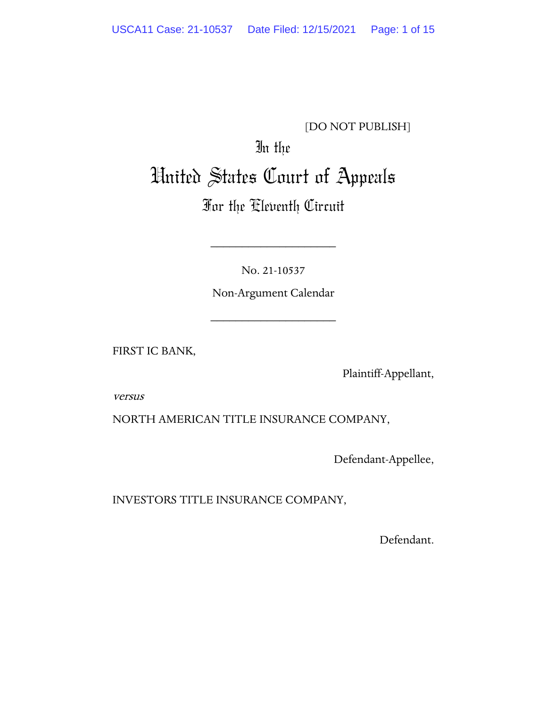## [DO NOT PUBLISH]

# In the United States Court of Appeals

# For the Eleventh Circuit

No. 21-10537

\_\_\_\_\_\_\_\_\_\_\_\_\_\_\_\_\_\_\_\_

Non-Argument Calendar

\_\_\_\_\_\_\_\_\_\_\_\_\_\_\_\_\_\_\_\_

FIRST IC BANK,

Plaintiff-Appellant,

versus

NORTH AMERICAN TITLE INSURANCE COMPANY,

Defendant-Appellee,

INVESTORS TITLE INSURANCE COMPANY,

Defendant.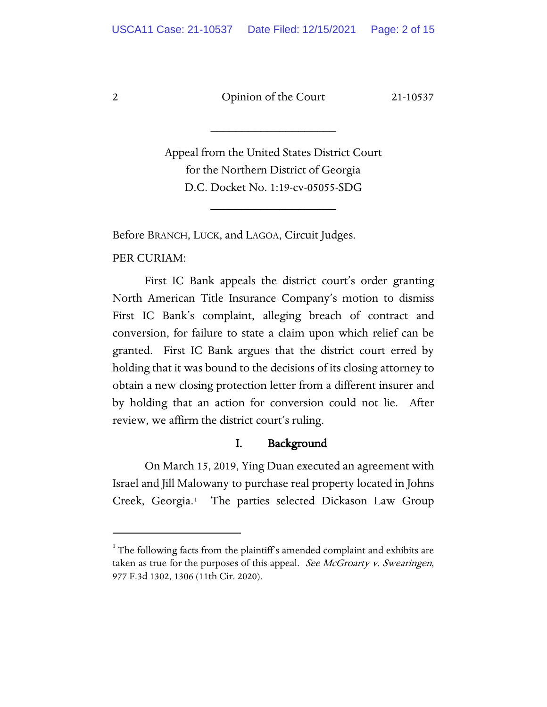\_\_\_\_\_\_\_\_\_\_\_\_\_\_\_\_\_\_\_\_

Appeal from the United States District Court for the Northern District of Georgia D.C. Docket No. 1:19-cv-05055-SDG

\_\_\_\_\_\_\_\_\_\_\_\_\_\_\_\_\_\_\_\_

Before BRANCH, LUCK, and LAGOA, Circuit Judges.

PER CURIAM:

First IC Bank appeals the district court's order granting North American Title Insurance Company's motion to dismiss First IC Bank's complaint, alleging breach of contract and conversion, for failure to state a claim upon which relief can be granted. First IC Bank argues that the district court erred by holding that it was bound to the decisions of its closing attorney to obtain a new closing protection letter from a different insurer and by holding that an action for conversion could not lie. After review, we affirm the district court's ruling.

### I. Background

On March 15, 2019, Ying Duan executed an agreement with Israel and Jill Malowany to purchase real property located in Johns Creek, Georgia.[1](#page-1-0) The parties selected Dickason Law Group

<span id="page-1-0"></span><sup>&</sup>lt;sup>1</sup> The following facts from the plaintiff's amended complaint and exhibits are taken as true for the purposes of this appeal. See McGroarty v. Swearingen, 977 F.3d 1302, 1306 (11th Cir. 2020).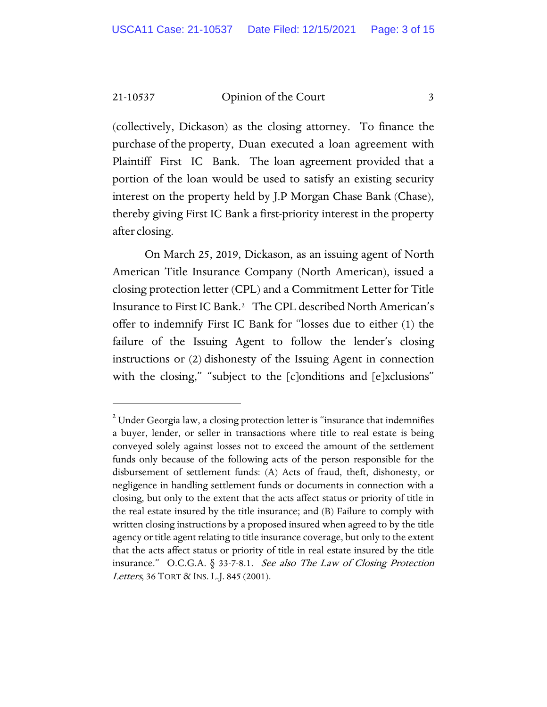(collectively, Dickason) as the closing attorney. To finance the purchase of the property, Duan executed a loan agreement with Plaintiff First IC Bank. The loan agreement provided that a portion of the loan would be used to satisfy an existing security interest on the property held by J.P Morgan Chase Bank (Chase), thereby giving First IC Bank a first-priority interest in the property after closing.

On March 25, 2019, Dickason, as an issuing agent of North American Title Insurance Company (North American), issued a closing protection letter (CPL) and a Commitment Letter for Title Insurance to First IC Bank[.2](#page-2-0) The CPL described North American's offer to indemnify First IC Bank for "losses due to either (1) the failure of the Issuing Agent to follow the lender's closing instructions or (2) dishonesty of the Issuing Agent in connection with the closing," "subject to the [c]onditions and [e]xclusions"

<span id="page-2-0"></span> $2$  Under Georgia law, a closing protection letter is "insurance that indemnifies a buyer, lender, or seller in transactions where title to real estate is being conveyed solely against losses not to exceed the amount of the settlement funds only because of the following acts of the person responsible for the disbursement of settlement funds: (A) Acts of fraud, theft, dishonesty, or negligence in handling settlement funds or documents in connection with a closing, but only to the extent that the acts affect status or priority of title in the real estate insured by the title insurance; and (B) Failure to comply with written closing instructions by a proposed insured when agreed to by the title agency or title agent relating to title insurance coverage, but only to the extent that the acts affect status or priority of title in real estate insured by the title insurance." O.C.G.A.  $\S$  33-7-8.1. See also The Law of Closing Protection Letters, 36 TORT & INS. L.J. 845 (2001).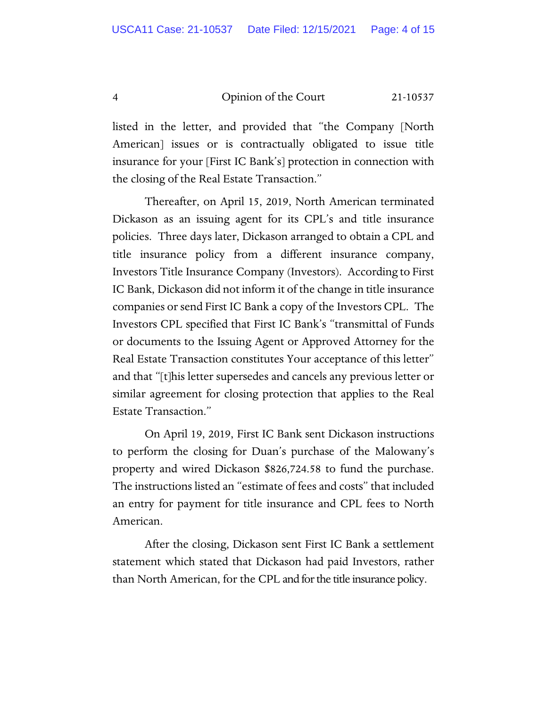listed in the letter, and provided that "the Company [North American] issues or is contractually obligated to issue title insurance for your [First IC Bank's] protection in connection with the closing of the Real Estate Transaction."

Thereafter, on April 15, 2019, North American terminated Dickason as an issuing agent for its CPL's and title insurance policies. Three days later, Dickason arranged to obtain a CPL and title insurance policy from a different insurance company, Investors Title Insurance Company (Investors). According to First IC Bank, Dickason did not inform it of the change in title insurance companies or send First IC Bank a copy of the Investors CPL. The Investors CPL specified that First IC Bank's "transmittal of Funds or documents to the Issuing Agent or Approved Attorney for the Real Estate Transaction constitutes Your acceptance of this letter" and that "[t]his letter supersedes and cancels any previous letter or similar agreement for closing protection that applies to the Real Estate Transaction."

On April 19, 2019, First IC Bank sent Dickason instructions to perform the closing for Duan's purchase of the Malowany's property and wired Dickason \$826,724.58 to fund the purchase. The instructions listed an "estimate of fees and costs" that included an entry for payment for title insurance and CPL fees to North American.

After the closing, Dickason sent First IC Bank a settlement statement which stated that Dickason had paid Investors, rather than North American, for the CPL and for the title insurance policy.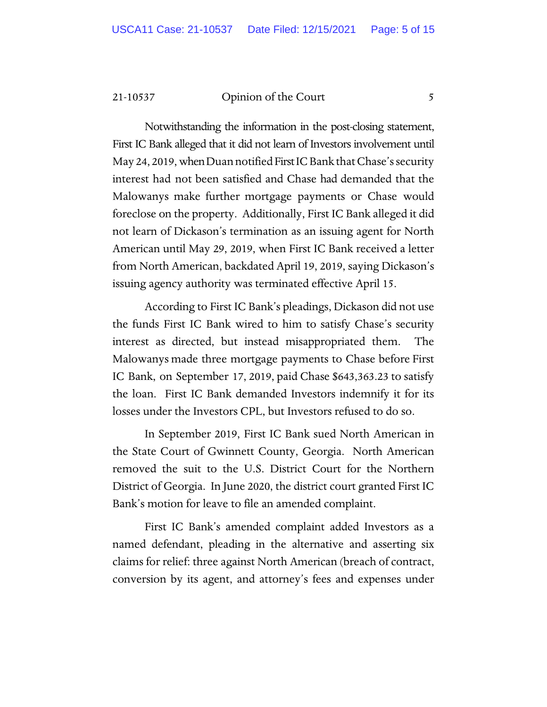Notwithstanding the information in the post-closing statement, First IC Bank alleged that it did not learn of Investors involvement until May 24, 2019, when Duan notified First IC Bank that Chase's security interest had not been satisfied and Chase had demanded that the Malowanys make further mortgage payments or Chase would foreclose on the property. Additionally, First IC Bank alleged it did not learn of Dickason's termination as an issuing agent for North American until May 29, 2019, when First IC Bank received a letter from North American, backdated April 19, 2019, saying Dickason's issuing agency authority was terminated effective April 15.

According to First IC Bank's pleadings, Dickason did not use the funds First IC Bank wired to him to satisfy Chase's security interest as directed, but instead misappropriated them. The Malowanys made three mortgage payments to Chase before First IC Bank, on September 17, 2019, paid Chase \$643,363.23 to satisfy the loan. First IC Bank demanded Investors indemnify it for its losses under the Investors CPL, but Investors refused to do so.

In September 2019, First IC Bank sued North American in the State Court of Gwinnett County, Georgia. North American removed the suit to the U.S. District Court for the Northern District of Georgia. In June 2020, the district court granted First IC Bank's motion for leave to file an amended complaint.

First IC Bank's amended complaint added Investors as a named defendant, pleading in the alternative and asserting six claims for relief: three against North American (breach of contract, conversion by its agent, and attorney's fees and expenses under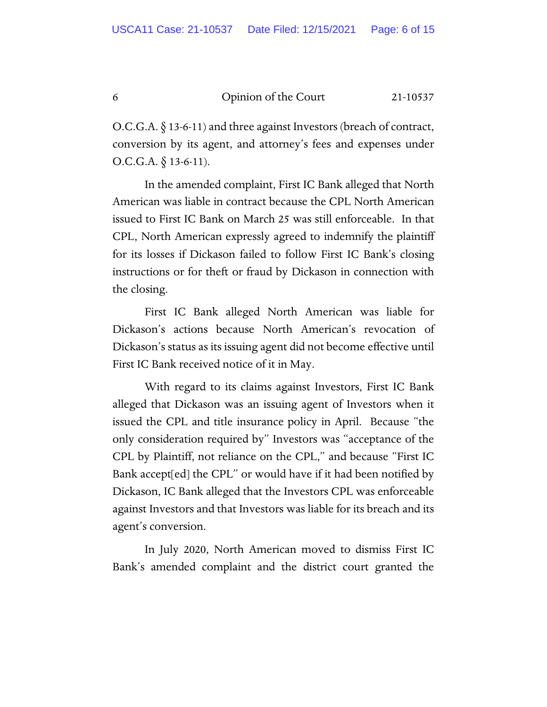O.C.G.A. § 13-6-11) and three against Investors (breach of contract, conversion by its agent, and attorney's fees and expenses under  $O.C.G.A. \S 13-6-11$ ).

In the amended complaint, First IC Bank alleged that North American was liable in contract because the CPL North American issued to First IC Bank on March 25 was still enforceable. In that CPL, North American expressly agreed to indemnify the plaintiff for its losses if Dickason failed to follow First IC Bank's closing instructions or for theft or fraud by Dickason in connection with the closing.

First IC Bank alleged North American was liable for Dickason's actions because North American's revocation of Dickason's status as its issuing agent did not become effective until First IC Bank received notice of it in May.

With regard to its claims against Investors, First IC Bank alleged that Dickason was an issuing agent of Investors when it issued the CPL and title insurance policy in April. Because "the only consideration required by" Investors was "acceptance of the CPL by Plaintiff, not reliance on the CPL," and because "First IC Bank accept[ed] the CPL" or would have if it had been notified by Dickason, IC Bank alleged that the Investors CPL was enforceable against Investors and that Investors was liable for its breach and its agent's conversion.

In July 2020, North American moved to dismiss First IC Bank's amended complaint and the district court granted the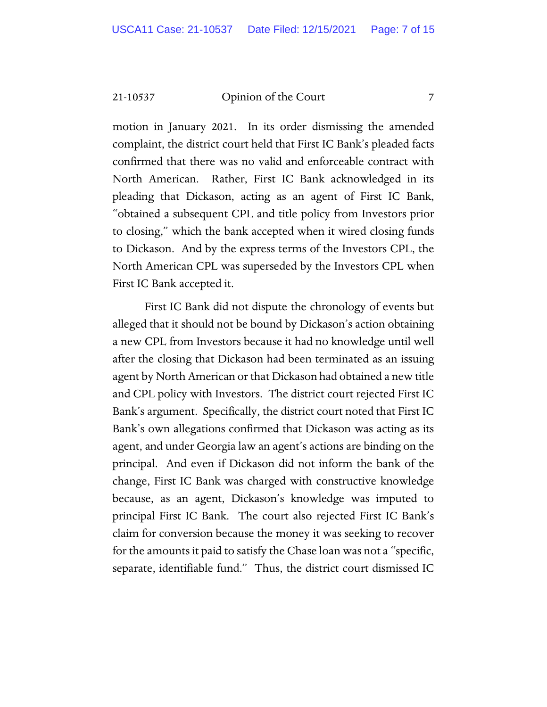motion in January 2021. In its order dismissing the amended complaint, the district court held that First IC Bank's pleaded facts confirmed that there was no valid and enforceable contract with North American. Rather, First IC Bank acknowledged in its pleading that Dickason, acting as an agent of First IC Bank, "obtained a subsequent CPL and title policy from Investors prior to closing," which the bank accepted when it wired closing funds to Dickason. And by the express terms of the Investors CPL, the North American CPL was superseded by the Investors CPL when First IC Bank accepted it.

First IC Bank did not dispute the chronology of events but alleged that it should not be bound by Dickason's action obtaining a new CPL from Investors because it had no knowledge until well after the closing that Dickason had been terminated as an issuing agent by North American or that Dickason had obtained a new title and CPL policy with Investors. The district court rejected First IC Bank's argument. Specifically, the district court noted that First IC Bank's own allegations confirmed that Dickason was acting as its agent, and under Georgia law an agent's actions are binding on the principal. And even if Dickason did not inform the bank of the change, First IC Bank was charged with constructive knowledge because, as an agent, Dickason's knowledge was imputed to principal First IC Bank. The court also rejected First IC Bank's claim for conversion because the money it was seeking to recover for the amounts it paid to satisfy the Chase loan was not a "specific, separate, identifiable fund." Thus, the district court dismissed IC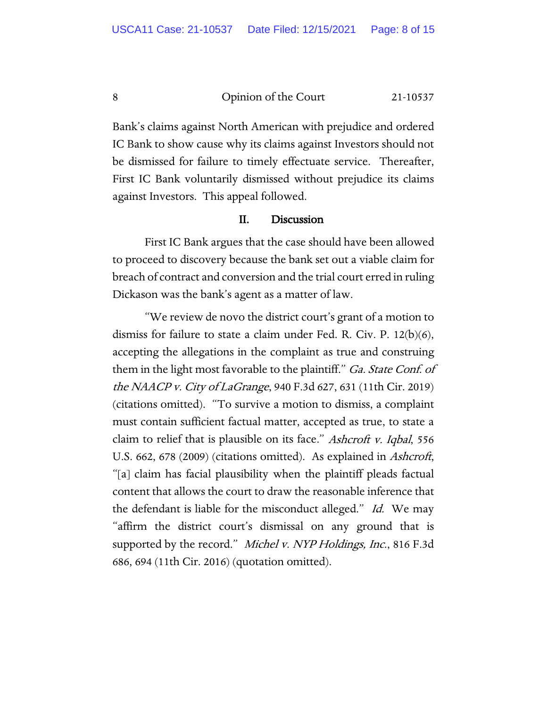Bank's claims against North American with prejudice and ordered IC Bank to show cause why its claims against Investors should not be dismissed for failure to timely effectuate service. Thereafter, First IC Bank voluntarily dismissed without prejudice its claims against Investors. This appeal followed.

#### II. Discussion

First IC Bank argues that the case should have been allowed to proceed to discovery because the bank set out a viable claim for breach of contract and conversion and the trial court erred in ruling Dickason was the bank's agent as a matter of law.

"We review de novo the district court's grant of a motion to dismiss for failure to state a claim under Fed. R. Civ. P. 12(b)(6), accepting the allegations in the complaint as true and construing them in the light most favorable to the plaintiff." Ga. State Conf. of the NAACP v. City of LaGrange, 940 F.3d 627, 631 (11th Cir. 2019) (citations omitted). "To survive a motion to dismiss, a complaint must contain sufficient factual matter, accepted as true, to state a claim to relief that is plausible on its face." Ashcroft v. Iqbal, 556 U.S. 662, 678 (2009) (citations omitted). As explained in *Ashcroft*, "[a] claim has facial plausibility when the plaintiff pleads factual content that allows the court to draw the reasonable inference that the defendant is liable for the misconduct alleged." Id. We may "affirm the district court's dismissal on any ground that is supported by the record." Michel v. NYP Holdings, Inc., 816 F.3d 686, 694 (11th Cir. 2016) (quotation omitted).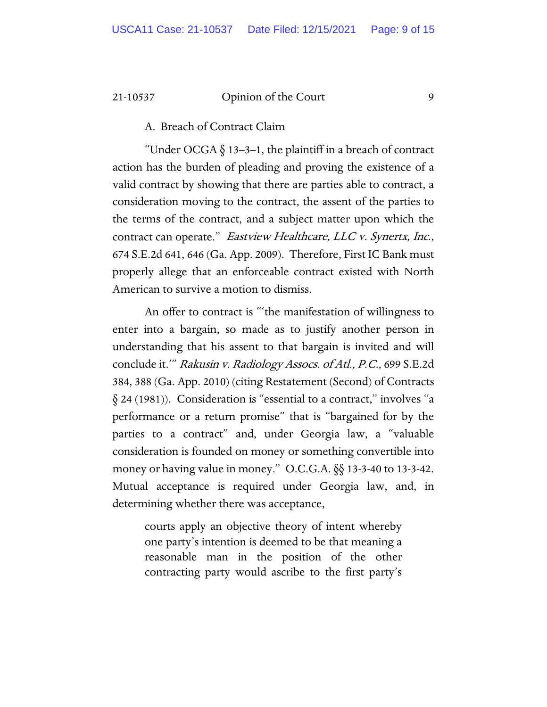A. Breach of Contract Claim

"Under OCGA  $\S$  13-3-1, the plaintiff in a breach of contract action has the burden of pleading and proving the existence of a valid contract by showing that there are parties able to contract, a consideration moving to the contract, the assent of the parties to the terms of the contract, and a subject matter upon which the contract can operate." Eastview Healthcare, LLC v. Synertx, Inc., 674 S.E.2d 641, 646 (Ga. App. 2009). Therefore, First IC Bank must properly allege that an enforceable contract existed with North American to survive a motion to dismiss.

An offer to contract is "'the manifestation of willingness to enter into a bargain, so made as to justify another person in understanding that his assent to that bargain is invited and will conclude it.'" Rakusin v. Radiology Assocs. of Atl., P.C., 699 S.E.2d 384, 388 (Ga. App. 2010) (citing Restatement (Second) of Contracts § 24 (1981)). Consideration is "essential to a contract," involves "a performance or a return promise" that is "bargained for by the parties to a contract" and, under Georgia law, a "valuable consideration is founded on money or something convertible into money or having value in money." O.C.G.A. §§ 13-3-40 to 13-3-42. Mutual acceptance is required under Georgia law, and, in determining whether there was acceptance,

courts apply an objective theory of intent whereby one party's intention is deemed to be that meaning a reasonable man in the position of the other contracting party would ascribe to the first party's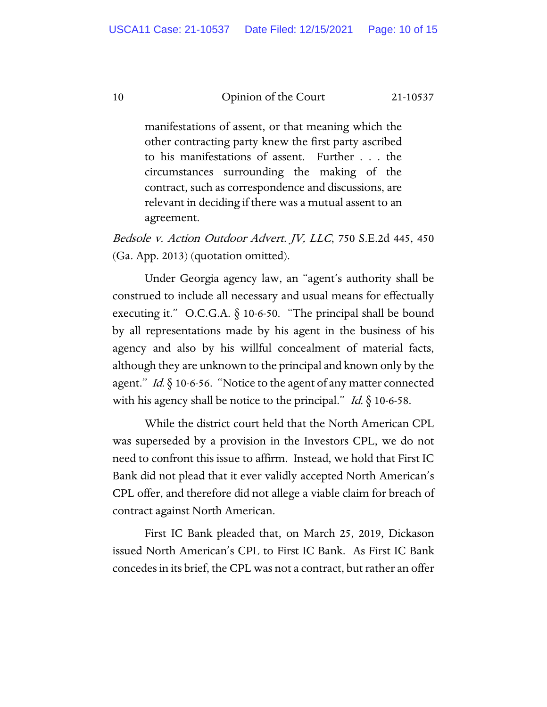manifestations of assent, or that meaning which the other contracting party knew the first party ascribed to his manifestations of assent. Further . . . the circumstances surrounding the making of the contract, such as correspondence and discussions, are relevant in deciding if there was a mutual assent to an agreement.

Bedsole v. Action Outdoor Advert. JV, LLC, 750 S.E.2d 445, 450 (Ga. App. 2013) (quotation omitted).

Under Georgia agency law, an "agent's authority shall be construed to include all necessary and usual means for effectually executing it." O.C.G.A.  $\S$  10-6-50. "The principal shall be bound by all representations made by his agent in the business of his agency and also by his willful concealment of material facts, although they are unknown to the principal and known only by the agent." Id.  $\S$  10-6-56. "Notice to the agent of any matter connected with his agency shall be notice to the principal." Id.  $\S$  10-6-58.

While the district court held that the North American CPL was superseded by a provision in the Investors CPL, we do not need to confront this issue to affirm. Instead, we hold that First IC Bank did not plead that it ever validly accepted North American's CPL offer, and therefore did not allege a viable claim for breach of contract against North American.

First IC Bank pleaded that, on March 25, 2019, Dickason issued North American's CPL to First IC Bank. As First IC Bank concedes in its brief, the CPL was not a contract, but rather an offer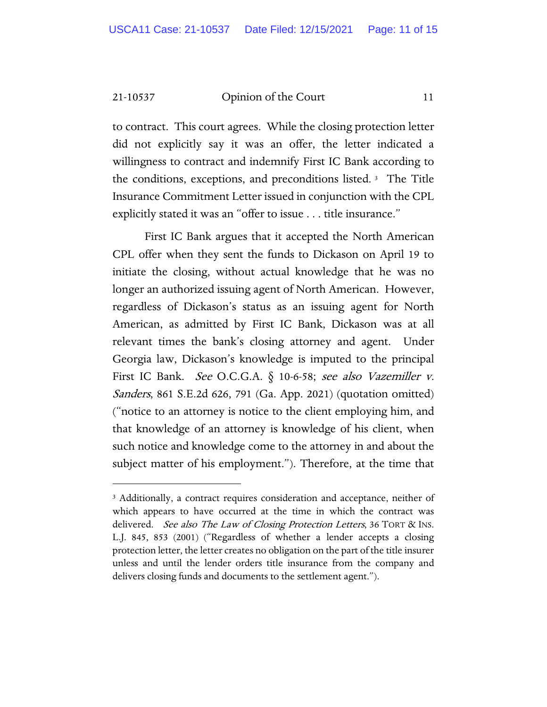to contract. This court agrees. While the closing protection letter did not explicitly say it was an offer, the letter indicated a willingness to contract and indemnify First IC Bank according to the conditions, exceptions, and preconditions listed. [3](#page-10-0) The Title Insurance Commitment Letter issued in conjunction with the CPL explicitly stated it was an "offer to issue . . . title insurance."

First IC Bank argues that it accepted the North American CPL offer when they sent the funds to Dickason on April 19 to initiate the closing, without actual knowledge that he was no longer an authorized issuing agent of North American. However, regardless of Dickason's status as an issuing agent for North American, as admitted by First IC Bank, Dickason was at all relevant times the bank's closing attorney and agent. Under Georgia law, Dickason's knowledge is imputed to the principal First IC Bank. See O.C.G.A.  $\S$  10-6-58; see also Vazemiller v. Sanders, 861 S.E.2d 626, 791 (Ga. App. 2021) (quotation omitted) ("notice to an attorney is notice to the client employing him, and that knowledge of an attorney is knowledge of his client, when such notice and knowledge come to the attorney in and about the subject matter of his employment."). Therefore, at the time that

<span id="page-10-0"></span><sup>&</sup>lt;sup>3</sup> Additionally, a contract requires consideration and acceptance, neither of which appears to have occurred at the time in which the contract was delivered. See also The Law of Closing Protection Letters, 36 TORT & INS. L.J. 845, 853 (2001) ("Regardless of whether a lender accepts a closing protection letter, the letter creates no obligation on the part of the title insurer unless and until the lender orders title insurance from the company and delivers closing funds and documents to the settlement agent.").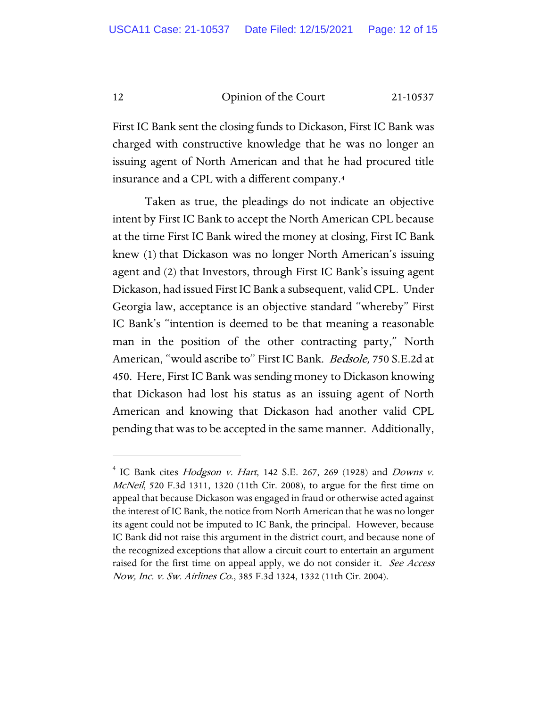First IC Bank sent the closing funds to Dickason, First IC Bank was charged with constructive knowledge that he was no longer an issuing agent of North American and that he had procured title insurance and a CPL with a different company.[4](#page-11-0) 

Taken as true, the pleadings do not indicate an objective intent by First IC Bank to accept the North American CPL because at the time First IC Bank wired the money at closing, First IC Bank knew (1) that Dickason was no longer North American's issuing agent and (2) that Investors, through First IC Bank's issuing agent Dickason, had issued First IC Bank a subsequent, valid CPL. Under Georgia law, acceptance is an objective standard "whereby" First IC Bank's "intention is deemed to be that meaning a reasonable man in the position of the other contracting party," North American, "would ascribe to" First IC Bank. Bedsole, 750 S.E.2d at 450. Here, First IC Bank was sending money to Dickason knowing that Dickason had lost his status as an issuing agent of North American and knowing that Dickason had another valid CPL pending that was to be accepted in the same manner. Additionally,

<span id="page-11-0"></span> $4$  IC Bank cites *Hodgson v. Hart*, 142 S.E. 267, 269 (1928) and *Downs v.* McNeil, 520 F.3d 1311, 1320 (11th Cir. 2008), to argue for the first time on appeal that because Dickason was engaged in fraud or otherwise acted against the interest of IC Bank, the notice from North American that he was no longer its agent could not be imputed to IC Bank, the principal. However, because IC Bank did not raise this argument in the district court, and because none of the recognized exceptions that allow a circuit court to entertain an argument raised for the first time on appeal apply, we do not consider it. See Access Now, Inc. v. Sw. Airlines Co., 385 F.3d 1324, 1332 (11th Cir. 2004).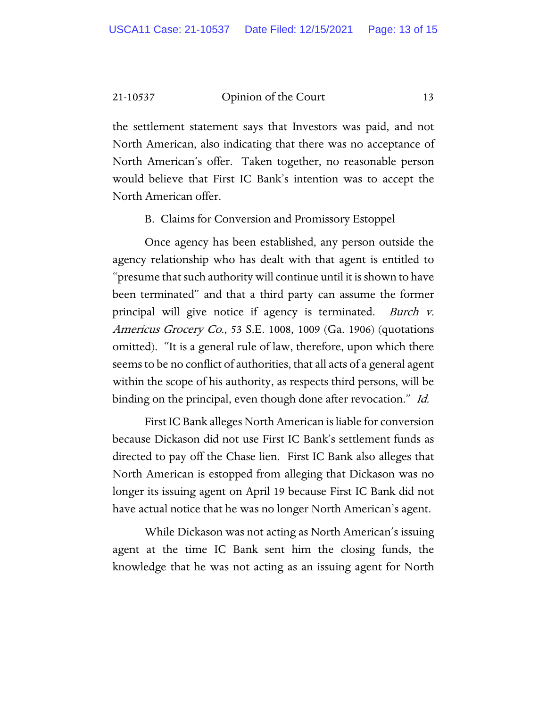the settlement statement says that Investors was paid, and not North American, also indicating that there was no acceptance of North American's offer. Taken together, no reasonable person would believe that First IC Bank's intention was to accept the North American offer.

B. Claims for Conversion and Promissory Estoppel

Once agency has been established, any person outside the agency relationship who has dealt with that agent is entitled to "presume that such authority will continue until it is shown to have been terminated" and that a third party can assume the former principal will give notice if agency is terminated. Burch v. Americus Grocery Co., 53 S.E. 1008, 1009 (Ga. 1906) (quotations omitted). "It is a general rule of law, therefore, upon which there seems to be no conflict of authorities, that all acts of a general agent within the scope of his authority, as respects third persons, will be binding on the principal, even though done after revocation." Id.

First IC Bank alleges North American is liable for conversion because Dickason did not use First IC Bank's settlement funds as directed to pay off the Chase lien. First IC Bank also alleges that North American is estopped from alleging that Dickason was no longer its issuing agent on April 19 because First IC Bank did not have actual notice that he was no longer North American's agent.

While Dickason was not acting as North American's issuing agent at the time IC Bank sent him the closing funds, the knowledge that he was not acting as an issuing agent for North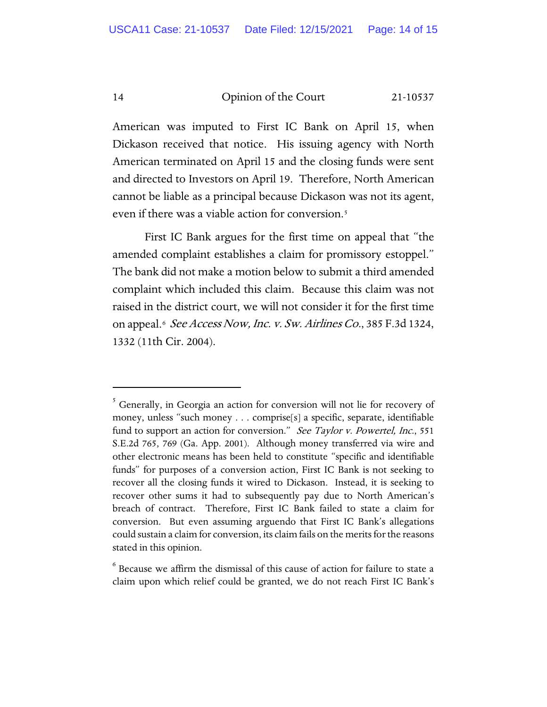American was imputed to First IC Bank on April 15, when Dickason received that notice. His issuing agency with North American terminated on April 15 and the closing funds were sent and directed to Investors on April 19. Therefore, North American cannot be liable as a principal because Dickason was not its agent, even if there was a viable action for conversion.<sup>5</sup>

First IC Bank argues for the first time on appeal that "the amended complaint establishes a claim for promissory estoppel." The bank did not make a motion below to submit a third amended complaint which included this claim. Because this claim was not raised in the district court, we will not consider it for the first time on appeal.<sup>[6](#page-13-1)</sup> See Access Now, Inc. v. Sw. Airlines Co., 385 F.3d 1324, 1332 (11th Cir. 2004).

<span id="page-13-1"></span> $6$  Because we affirm the dismissal of this cause of action for failure to state a claim upon which relief could be granted, we do not reach First IC Bank's

<span id="page-13-0"></span> $5$  Generally, in Georgia an action for conversion will not lie for recovery of money, unless "such money . . . comprise[s] a specific, separate, identifiable fund to support an action for conversion." See Taylor v. Powertel, Inc., 551 S.E.2d 765, 769 (Ga. App. 2001). Although money transferred via wire and other electronic means has been held to constitute "specific and identifiable funds" for purposes of a conversion action, First IC Bank is not seeking to recover all the closing funds it wired to Dickason. Instead, it is seeking to recover other sums it had to subsequently pay due to North American's breach of contract. Therefore, First IC Bank failed to state a claim for conversion. But even assuming arguendo that First IC Bank's allegations could sustain a claim for conversion, its claim fails on the merits for the reasons stated in this opinion.